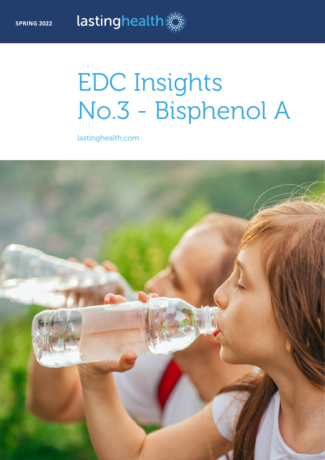# EDC Insights No.3 - Bisphenol A

lastinghealth.com

lastinghealth

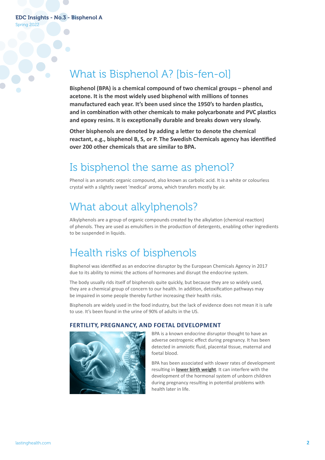Spring 2022

# What is Bisphenol A? [bis-fen-ol]

**Bisphenol (BPA) is a chemical compound of two chemical groups – phenol and acetone. It is the most widely used bisphenol with millions of tonnes manufactured each year. It's been used since the 1950's to harden plastics, and in combination with other chemicals to make polycarbonate and PVC plastics and epoxy resins. It is exceptionally durable and breaks down very slowly.** 

**Other bisphenols are denoted by adding a letter to denote the chemical reactant, e.g., bisphenol B, S, or P. The Swedish Chemicals agency has identified over 200 other chemicals that are similar to BPA.**

### Is bisphenol the same as phenol?

Phenol is an aromatic organic compound, also known as carbolic acid. It is a white or colourless crystal with a slightly sweet 'medical' aroma, which transfers mostly by air.

### What about alkylphenols?

Alkylphenols are a group of organic compounds created by the alkylation (chemical reaction) of phenols. They are used as emulsifiers in the production of detergents, enabling other ingredients to be suspended in liquids.

### Health risks of bisphenols

Bisphenol was identified as an endocrine disruptor by the European Chemicals Agency in 2017 due to its ability to mimic the actions of hormones and disrupt the endocrine system.

The body usually rids itself of bisphenols quite quickly, but because they are so widely used, they are a chemical group of concern to our health. In addition, detoxification pathways may be impaired in some people thereby further increasing their health risks.

Bisphenols are widely used in the food industry, but the lack of evidence does not mean it is safe to use. It's been found in the urine of 90% of adults in the US.

#### **FERTILITY, PREGNANCY, AND FOETAL DEVELOPMENT**



BPA is a known endocrine disruptor thought to have an adverse oestrogenic effect during pregnancy. It has been detected in amniotic fluid, placental tissue, maternal and foetal blood.

BPA has been associated with slower rates of development resulting in **[lower birth weight](https://www.mdpi.com/2072-6643/13/7/2426)**. It can interfere with the development of the hormonal system of unborn children during pregnancy resulting in potential problems with health later in life.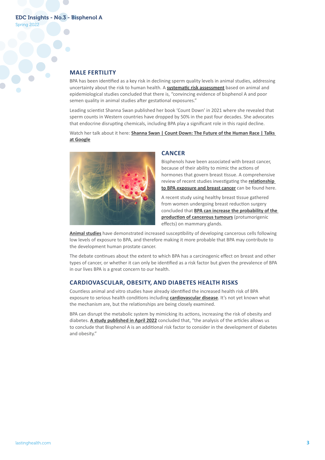#### **MALE FERTILITY**

BPA has been identified as a key risk in declining sperm quality levels in animal studies, addressing uncertainty about the risk to human health. A **[systematic risk assessment](https://www.sciencedirect.com/science/article/pii/S1438463922000256)** based on animal and epidemiological studies concluded that there is, "convincing evidence of bisphenol A and poor semen quality in animal studies after gestational exposures."

Leading scientist Shanna Swan published her book 'Count Down' in 2021 where she revealed that sperm counts in Western countries have dropped by 50% in the past four decades. She advocates that endocrine disrupting chemicals, including BPA play a significant role in this rapid decline.

Watch her talk about it here: **Shanna Swan | Count Down: The Future of the Human Race | Talks [at Google](https://www.youtube.com/watch?v=O7HZ7t3fS9E)**



### **CANCER**

Bisphenols have been associated with breast cancer, because of their ability to mimic the actions of hormones that govern breast tissue. A comprehensive review of recent studies investigating the **[relationship](https://onlinelibrary.wiley.com/doi/full/10.1002/advs.201600248)  [to BPA exposure and breast cancer](https://onlinelibrary.wiley.com/doi/full/10.1002/advs.201600248)** can be found here.

A recent study using healthy breast tissue gathered from women undergoing breast reduction surgery concluded that **[BPA can increase the probability of the](https://www.pnas.org/doi/full/10.1073/pnas.2115308119#sec-1)  [production of cancerous tumours](https://www.pnas.org/doi/full/10.1073/pnas.2115308119#sec-1)** (protumorigenic effects) on mammary glands.

**[Animal studies](https://ehp.niehs.nih.gov/doi/full/10.1289/EHP3953)** have demonstrated increased susceptibility of developing cancerous cells following low levels of exposure to BPA, and therefore making it more probable that BPA may contribute to the development human prostate cancer.

The debate continues about the extent to which BPA has a carcinogenic effect on breast and other types of cancer, or whether it can only be identified as a risk factor but given the prevalence of BPA in our lives BPA is a great concern to our health.

#### **CARDIOVASCULAR, OBESITY, AND DIABETES HEALTH RISKS**

Countless animal and vitro studies have already identified the increased health risk of BPA exposure to serious health conditions including **[cardiovascular disease](https://www.sciencedirect.com/science/article/abs/pii/S0048969720314650)**. It's not yet known what the mechanism are, but the relationships are being closely examined.

BPA can disrupt the metabolic system by mimicking its actions, increasing the risk of obesity and diabetes. **[A study published in April 2022](https://www.mdpi.com/2227-9059/9/6/666/htm)** concluded that, "the analysis of the articles allows us to conclude that Bisphenol A is an additional risk factor to consider in the development of diabetes and obesity."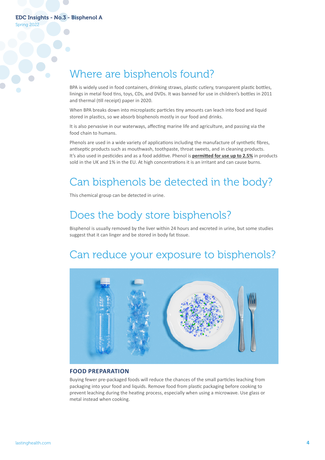# Where are bisphenols found?

BPA is widely used in food containers, drinking straws, plastic cutlery, transparent plastic bottles, linings in metal food tins, toys, CDs, and DVDs. It was banned for use in children's bottles in 2011 and thermal (till receipt) paper in 2020.

When BPA breaks down into microplastic particles tiny amounts can leach into food and liquid stored in plastics, so we absorb bisphenols mostly in our food and drinks.

It is also pervasive in our waterways, affecting marine life and agriculture, and passing via the food chain to humans.

Phenols are used in a wide variety of applications including the manufacture of synthetic fibres, antiseptic products such as mouthwash, toothpaste, throat sweets, and in cleaning products. It's also used in pesticides and as a food additive. Phenol is **[permitted for use up to 2.5%](https://assets.publishing.service.gov.uk/government/uploads/system/uploads/attachment_data/file/562434/phenol_general_information.pdf)** in products sold in the UK and 1% in the EU. At high concentrations it is an irritant and can cause burns.

# Can bisphenols be detected in the body?

This chemical group can be detected in urine.

### Does the body store bisphenols?

Bisphenol is usually removed by the liver within 24 hours and excreted in urine, but some studies suggest that it can linger and be stored in body fat tissue.

# Can reduce your exposure to bisphenols?



#### **FOOD PREPARATION**

Buying fewer pre-packaged foods will reduce the chances of the small particles leaching from packaging into your food and liquids. Remove food from plastic packaging before cooking to prevent leaching during the heating process, especially when using a microwave. Use glass or metal instead when cooking.